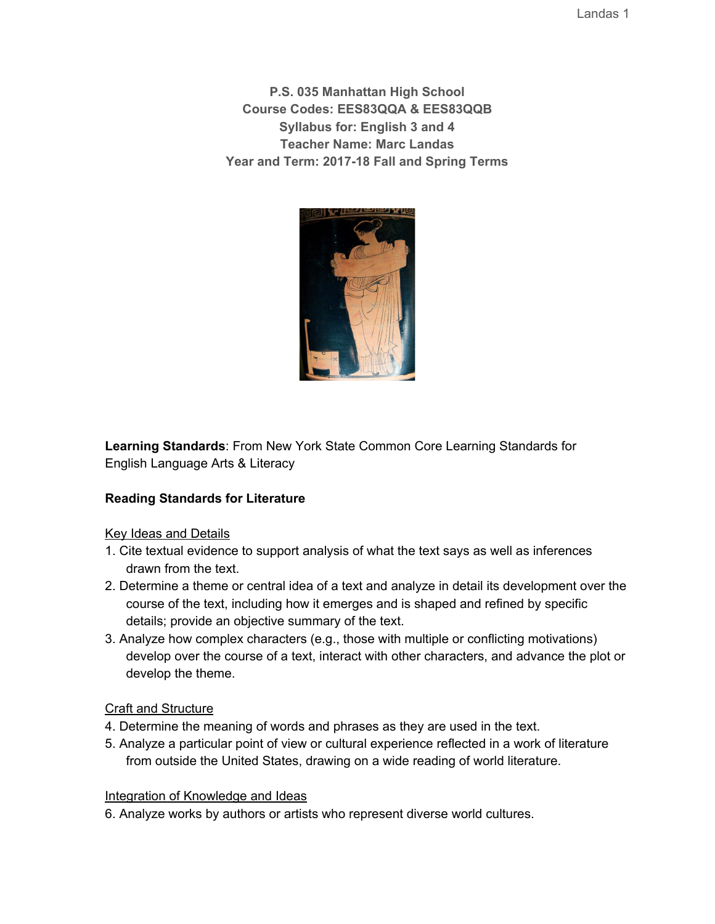Landas 1

**P.S. 035 Manhattan High School Course Codes: EES83QQA & EES83QQB Syllabus for: English 3 and 4 Teacher Name: Marc Landas Year and Term: 2017-18 Fall and Spring Terms**



**Learning Standards**: From New York State Common Core Learning Standards for English Language Arts & Literacy

# **Reading Standards for Literature**

Key Ideas and Details

- 1. Cite textual evidence to support analysis of what the text says as well as inferences drawn from the text.
- 2. Determine a theme or central idea of a text and analyze in detail its development over the course of the text, including how it emerges and is shaped and refined by specific details; provide an objective summary of the text.
- 3. Analyze how complex characters (e.g., those with multiple or conflicting motivations) develop over the course of a text, interact with other characters, and advance the plot or develop the theme.

# Craft and Structure

- 4. Determine the meaning of words and phrases as they are used in the text.
- 5. Analyze a particular point of view or cultural experience reflected in a work of literature from outside the United States, drawing on a wide reading of world literature.

# Integration of Knowledge and Ideas

6. Analyze works by authors or artists who represent diverse world cultures.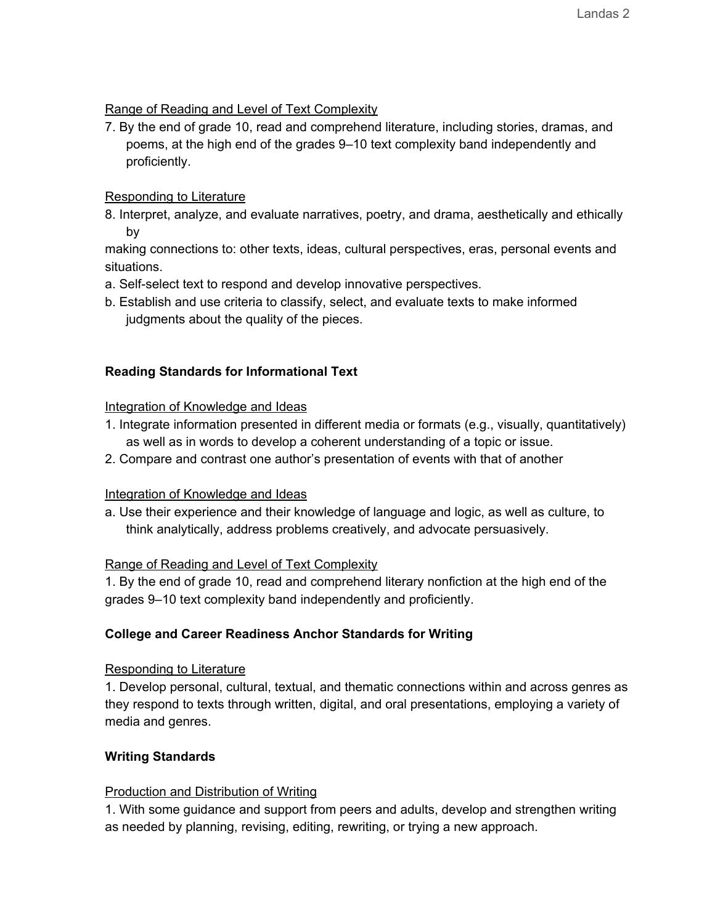# Range of Reading and Level of Text Complexity

7. By the end of grade 10, read and comprehend literature, including stories, dramas, and poems, at the high end of the grades 9–10 text complexity band independently and proficiently.

#### Responding to Literature

8. Interpret, analyze, and evaluate narratives, poetry, and drama, aesthetically and ethically by

making connections to: other texts, ideas, cultural perspectives, eras, personal events and situations.

- a. Self-select text to respond and develop innovative perspectives.
- b. Establish and use criteria to classify, select, and evaluate texts to make informed judgments about the quality of the pieces.

# **Reading Standards for Informational Text**

#### Integration of Knowledge and Ideas

- 1. Integrate information presented in different media or formats (e.g., visually, quantitatively) as well as in words to develop a coherent understanding of a topic or issue.
- 2. Compare and contrast one author's presentation of events with that of another

# Integration of Knowledge and Ideas

a. Use their experience and their knowledge of language and logic, as well as culture, to think analytically, address problems creatively, and advocate persuasively.

#### Range of Reading and Level of Text Complexity

1. By the end of grade 10, read and comprehend literary nonfiction at the high end of the grades 9–10 text complexity band independently and proficiently.

# **College and Career Readiness Anchor Standards for Writing**

#### Responding to Literature

1. Develop personal, cultural, textual, and thematic connections within and across genres as they respond to texts through written, digital, and oral presentations, employing a variety of media and genres.

# **Writing Standards**

# Production and Distribution of Writing

1. With some guidance and support from peers and adults, develop and strengthen writing as needed by planning, revising, editing, rewriting, or trying a new approach.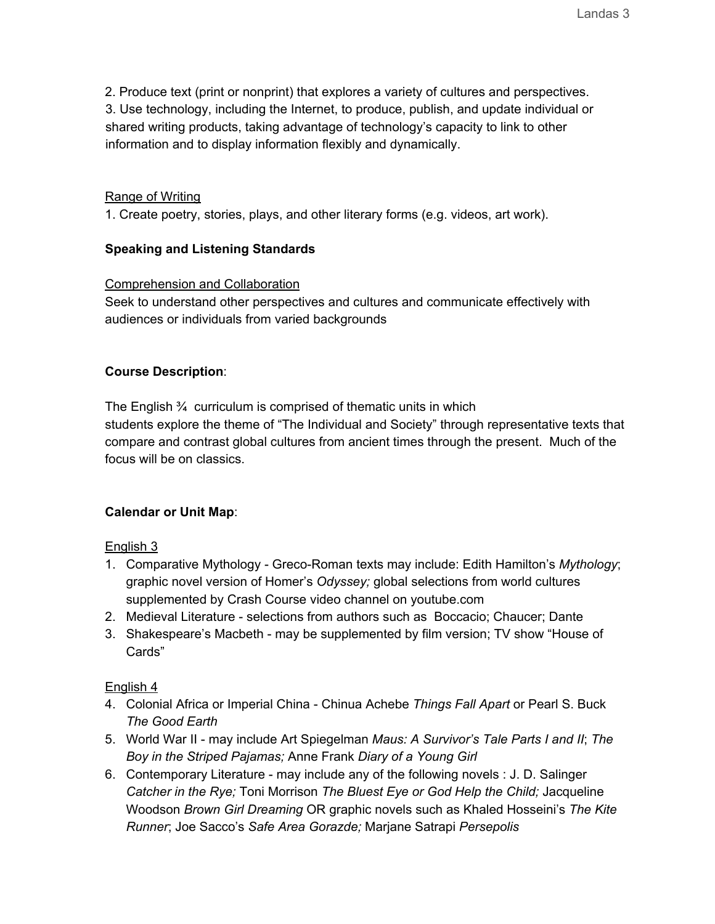2. Produce text (print or nonprint) that explores a variety of cultures and perspectives. 3. Use technology, including the Internet, to produce, publish, and update individual or shared writing products, taking advantage of technology's capacity to link to other information and to display information flexibly and dynamically.

#### Range of Writing

1. Create poetry, stories, plays, and other literary forms (e.g. videos, art work).

#### **Speaking and Listening Standards**

#### Comprehension and Collaboration

Seek to understand other perspectives and cultures and communicate effectively with audiences or individuals from varied backgrounds

#### **Course Description**:

The English ¾ curriculum is comprised of thematic units in which students explore the theme of "The Individual and Society" through representative texts that compare and contrast global cultures from ancient times through the present. Much of the focus will be on classics.

# **Calendar or Unit Map**:

English 3

- 1. Comparative Mythology Greco-Roman texts may include: Edith Hamilton's *Mythology*; graphic novel version of Homer's *Odyssey;* global selections from world cultures supplemented by Crash Course video channel on youtube.com
- 2. Medieval Literature selections from authors such as Boccacio; Chaucer; Dante
- 3. Shakespeare's Macbeth may be supplemented by film version; TV show "House of Cards"

# English 4

- 4. Colonial Africa or Imperial China Chinua Achebe *Things Fall Apart* or Pearl S. Buck *The Good Earth*
- 5. World War II may include Art Spiegelman *Maus: A Survivor's Tale Parts I and II*; *The Boy in the Striped Pajamas;* Anne Frank *Diary of a Young Girl*
- 6. Contemporary Literature may include any of the following novels : J. D. Salinger *Catcher in the Rye;* Toni Morrison *The Bluest Eye or God Help the Child;* Jacqueline Woodson *Brown Girl Dreaming* OR graphic novels such as Khaled Hosseini's *The Kite Runner*; Joe Sacco's *Safe Area Gorazde;* Marjane Satrapi *Persepolis*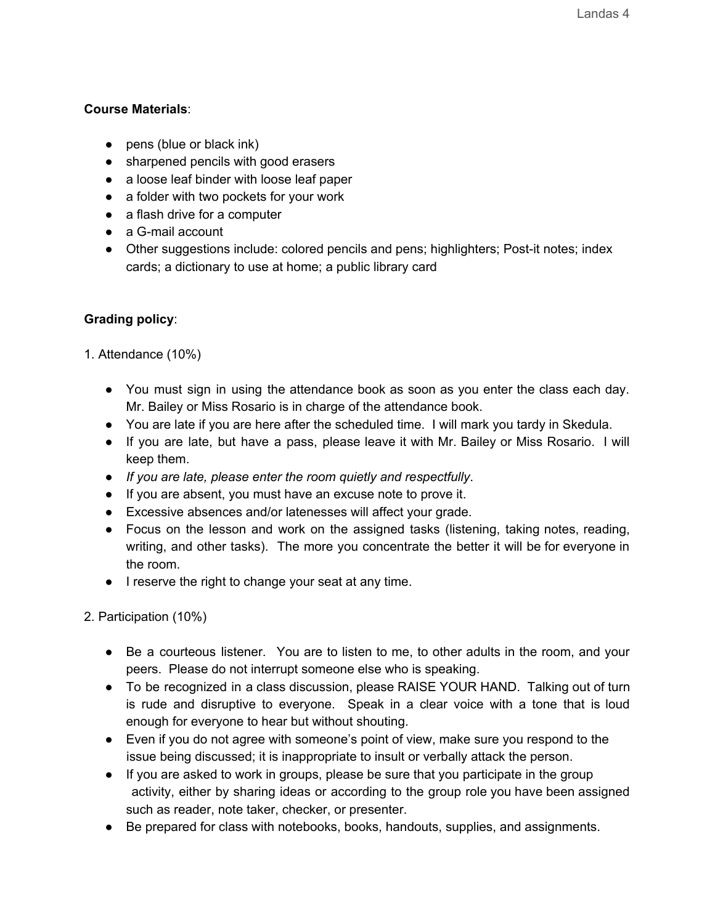# **Course Materials**:

- pens (blue or black ink)
- sharpened pencils with good erasers
- a loose leaf binder with loose leaf paper
- a folder with two pockets for your work
- a flash drive for a computer
- a G-mail account
- Other suggestions include: colored pencils and pens; highlighters; Post-it notes; index cards; a dictionary to use at home; a public library card

# **Grading policy**:

- 1. Attendance (10%)
	- You must sign in using the attendance book as soon as you enter the class each day. Mr. Bailey or Miss Rosario is in charge of the attendance book.
	- You are late if you are here after the scheduled time. I will mark you tardy in Skedula.
	- If you are late, but have a pass, please leave it with Mr. Bailey or Miss Rosario. I will keep them.
	- *If you are late, please enter the room quietly and respectfully*.
	- If you are absent, you must have an excuse note to prove it.
	- Excessive absences and/or latenesses will affect your grade.
	- Focus on the lesson and work on the assigned tasks (listening, taking notes, reading, writing, and other tasks). The more you concentrate the better it will be for everyone in the room.
	- I reserve the right to change your seat at any time.

2. Participation (10%)

- Be a courteous listener. You are to listen to me, to other adults in the room, and your peers. Please do not interrupt someone else who is speaking.
- To be recognized in a class discussion, please RAISE YOUR HAND. Talking out of turn is rude and disruptive to everyone. Speak in a clear voice with a tone that is loud enough for everyone to hear but without shouting.
- Even if you do not agree with someone's point of view, make sure you respond to the issue being discussed; it is inappropriate to insult or verbally attack the person.
- If you are asked to work in groups, please be sure that you participate in the group activity, either by sharing ideas or according to the group role you have been assigned such as reader, note taker, checker, or presenter.
- Be prepared for class with notebooks, books, handouts, supplies, and assignments.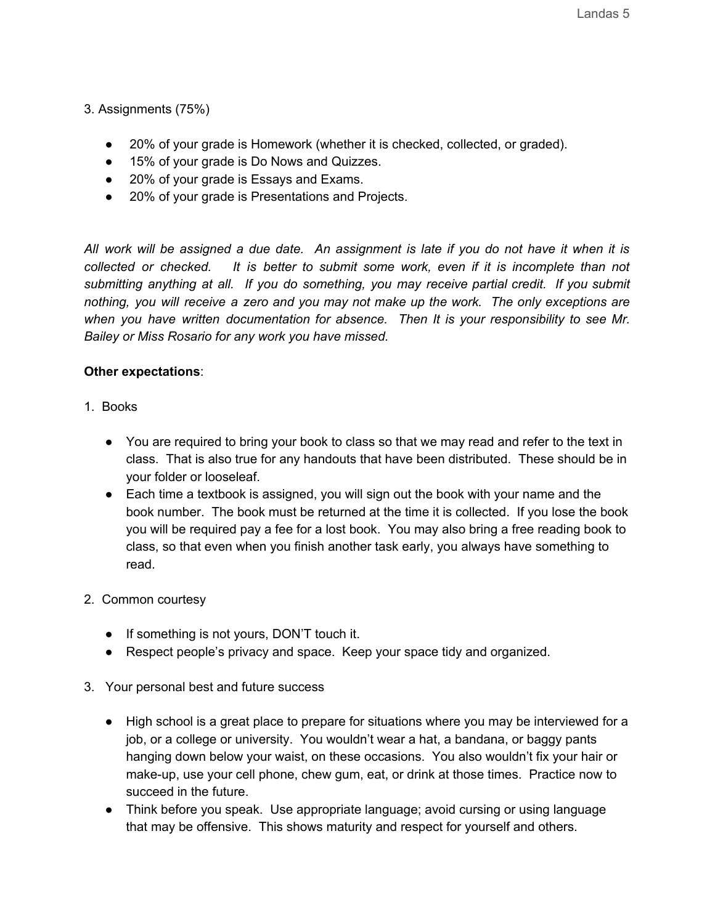3. Assignments (75%)

- 20% of your grade is Homework (whether it is checked, collected, or graded).
- 15% of your grade is Do Nows and Quizzes.
- 20% of your grade is Essays and Exams.
- 20% of your grade is Presentations and Projects.

All work will be assigned a due date. An assignment is late if you do not have it when it is *collected or checked. It is better to submit some work, even if it is incomplete than not submitting anything at all. If you do something, you may receive partial credit. If you submit nothing, you will receive a zero and you may not make up the work. The only exceptions are when you have written documentation for absence. Then It is your responsibility to see Mr. Bailey or Miss Rosario for any work you have missed.*

#### **Other expectations**:

- 1. Books
	- You are required to bring your book to class so that we may read and refer to the text in class. That is also true for any handouts that have been distributed. These should be in your folder or looseleaf.
	- Each time a textbook is assigned, you will sign out the book with your name and the book number. The book must be returned at the time it is collected. If you lose the book you will be required pay a fee for a lost book. You may also bring a free reading book to class, so that even when you finish another task early, you always have something to read.
- 2. Common courtesy
	- If something is not yours, DON'T touch it.
	- Respect people's privacy and space. Keep your space tidy and organized.
- 3. Your personal best and future success
	- High school is a great place to prepare for situations where you may be interviewed for a job, or a college or university. You wouldn't wear a hat, a bandana, or baggy pants hanging down below your waist, on these occasions. You also wouldn't fix your hair or make-up, use your cell phone, chew gum, eat, or drink at those times. Practice now to succeed in the future.
	- Think before you speak. Use appropriate language; avoid cursing or using language that may be offensive. This shows maturity and respect for yourself and others.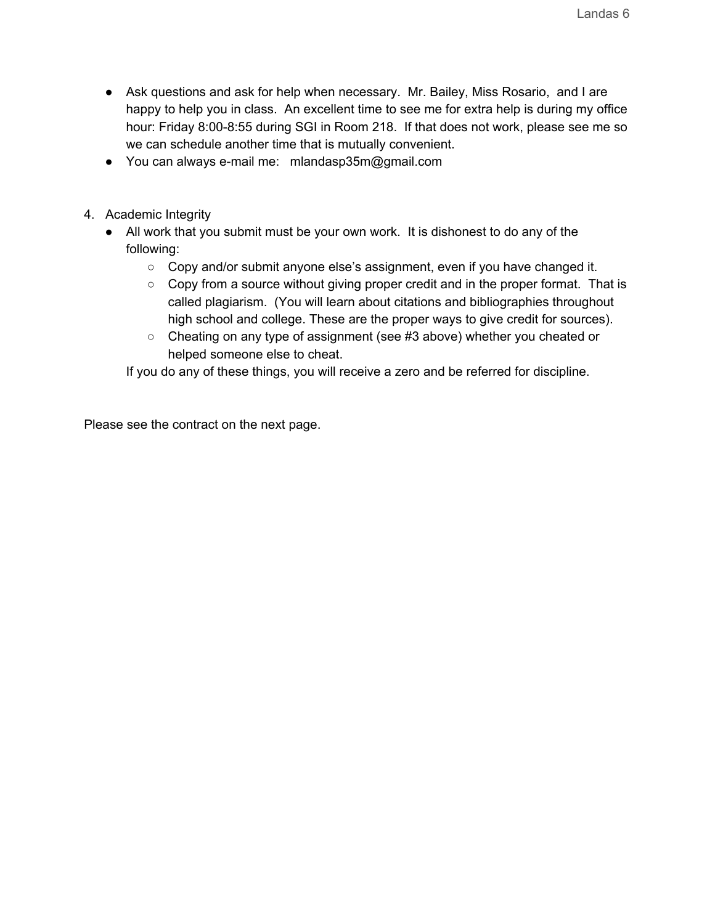- Ask questions and ask for help when necessary. Mr. Bailey, Miss Rosario, and I are happy to help you in class. An excellent time to see me for extra help is during my office hour: Friday 8:00-8:55 during SGI in Room 218. If that does not work, please see me so we can schedule another time that is mutually convenient.
- You can always e-mail me: mlandasp35m@gmail.com
- 4. Academic Integrity
	- All work that you submit must be your own work. It is dishonest to do any of the following:
		- $\circ$  Copy and/or submit anyone else's assignment, even if you have changed it.
		- Copy from a source without giving proper credit and in the proper format. That is called plagiarism. (You will learn about citations and bibliographies throughout high school and college. These are the proper ways to give credit for sources).
		- Cheating on any type of assignment (see #3 above) whether you cheated or helped someone else to cheat.

If you do any of these things, you will receive a zero and be referred for discipline.

Please see the contract on the next page.